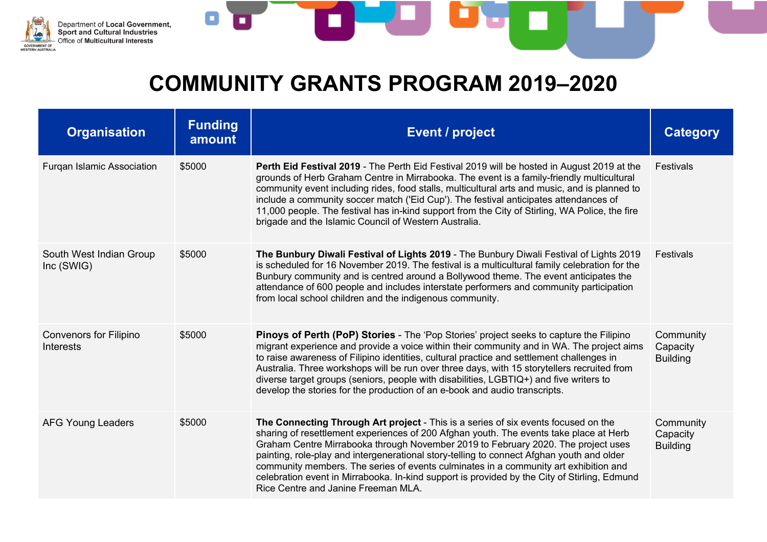

| <b>Organisation</b>                        | <b>Funding</b><br>amount | <b>Event / project</b>                                                                                                                                                                                                                                                                                                                                                                                                                                                                                                                                                                        | <b>Category</b>                          |
|--------------------------------------------|--------------------------|-----------------------------------------------------------------------------------------------------------------------------------------------------------------------------------------------------------------------------------------------------------------------------------------------------------------------------------------------------------------------------------------------------------------------------------------------------------------------------------------------------------------------------------------------------------------------------------------------|------------------------------------------|
| <b>Furgan Islamic Association</b>          | \$5000                   | Perth Eid Festival 2019 - The Perth Eid Festival 2019 will be hosted in August 2019 at the<br>grounds of Herb Graham Centre in Mirrabooka. The event is a family-friendly multicultural<br>community event including rides, food stalls, multicultural arts and music, and is planned to<br>include a community soccer match ('Eid Cup'). The festival anticipates attendances of<br>11,000 people. The festival has in-kind support from the City of Stirling, WA Police, the fire<br>brigade and the Islamic Council of Western Australia.                                                  | Festivals                                |
| South West Indian Group<br>Inc (SWIG)      | \$5000                   | The Bunbury Diwali Festival of Lights 2019 - The Bunbury Diwali Festival of Lights 2019<br>is scheduled for 16 November 2019. The festival is a multicultural family celebration for the<br>Bunbury community and is centred around a Bollywood theme. The event anticipates the<br>attendance of 600 people and includes interstate performers and community participation<br>from local school children and the indigenous community.                                                                                                                                                       | <b>Festivals</b>                         |
| <b>Convenors for Filipino</b><br>Interests | \$5000                   | Pinoys of Perth (PoP) Stories - The 'Pop Stories' project seeks to capture the Filipino<br>migrant experience and provide a voice within their community and in WA. The project aims<br>to raise awareness of Filipino identities, cultural practice and settlement challenges in<br>Australia. Three workshops will be run over three days, with 15 storytellers recruited from<br>diverse target groups (seniors, people with disabilities, LGBTIQ+) and five writers to<br>develop the stories for the production of an e-book and audio transcripts.                                      | Community<br>Capacity<br><b>Building</b> |
| <b>AFG Young Leaders</b>                   | \$5000                   | The Connecting Through Art project - This is a series of six events focused on the<br>sharing of resettlement experiences of 200 Afghan youth. The events take place at Herb<br>Graham Centre Mirrabooka through November 2019 to February 2020. The project uses<br>painting, role-play and intergenerational story-telling to connect Afghan youth and older<br>community members. The series of events culminates in a community art exhibition and<br>celebration event in Mirrabooka. In-kind support is provided by the City of Stirling, Edmund<br>Rice Centre and Janine Freeman MLA. | Community<br>Capacity<br><b>Building</b> |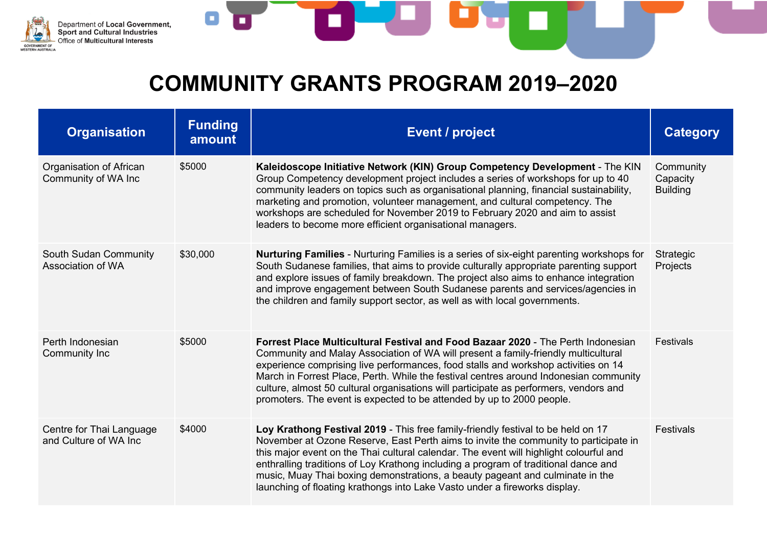

| <b>Organisation</b>                               | <b>Funding</b><br>amount | <b>Event / project</b>                                                                                                                                                                                                                                                                                                                                                                                                                                                                                                   | <b>Category</b>                          |
|---------------------------------------------------|--------------------------|--------------------------------------------------------------------------------------------------------------------------------------------------------------------------------------------------------------------------------------------------------------------------------------------------------------------------------------------------------------------------------------------------------------------------------------------------------------------------------------------------------------------------|------------------------------------------|
| Organisation of African<br>Community of WA Inc    | \$5000                   | Kaleidoscope Initiative Network (KIN) Group Competency Development - The KIN<br>Group Competency development project includes a series of workshops for up to 40<br>community leaders on topics such as organisational planning, financial sustainability,<br>marketing and promotion, volunteer management, and cultural competency. The<br>workshops are scheduled for November 2019 to February 2020 and aim to assist<br>leaders to become more efficient organisational managers.                                   | Community<br>Capacity<br><b>Building</b> |
| South Sudan Community<br>Association of WA        | \$30,000                 | <b>Nurturing Families</b> - Nurturing Families is a series of six-eight parenting workshops for<br>South Sudanese families, that aims to provide culturally appropriate parenting support<br>and explore issues of family breakdown. The project also aims to enhance integration<br>and improve engagement between South Sudanese parents and services/agencies in<br>the children and family support sector, as well as with local governments.                                                                        | Strategic<br>Projects                    |
| Perth Indonesian<br>Community Inc                 | \$5000                   | Forrest Place Multicultural Festival and Food Bazaar 2020 - The Perth Indonesian<br>Community and Malay Association of WA will present a family-friendly multicultural<br>experience comprising live performances, food stalls and workshop activities on 14<br>March in Forrest Place, Perth. While the festival centres around Indonesian community<br>culture, almost 50 cultural organisations will participate as performers, vendors and<br>promoters. The event is expected to be attended by up to 2000 people.  | <b>Festivals</b>                         |
| Centre for Thai Language<br>and Culture of WA Inc | \$4000                   | Loy Krathong Festival 2019 - This free family-friendly festival to be held on 17<br>November at Ozone Reserve, East Perth aims to invite the community to participate in<br>this major event on the Thai cultural calendar. The event will highlight colourful and<br>enthralling traditions of Loy Krathong including a program of traditional dance and<br>music, Muay Thai boxing demonstrations, a beauty pageant and culminate in the<br>launching of floating krathongs into Lake Vasto under a fireworks display. | Festivals                                |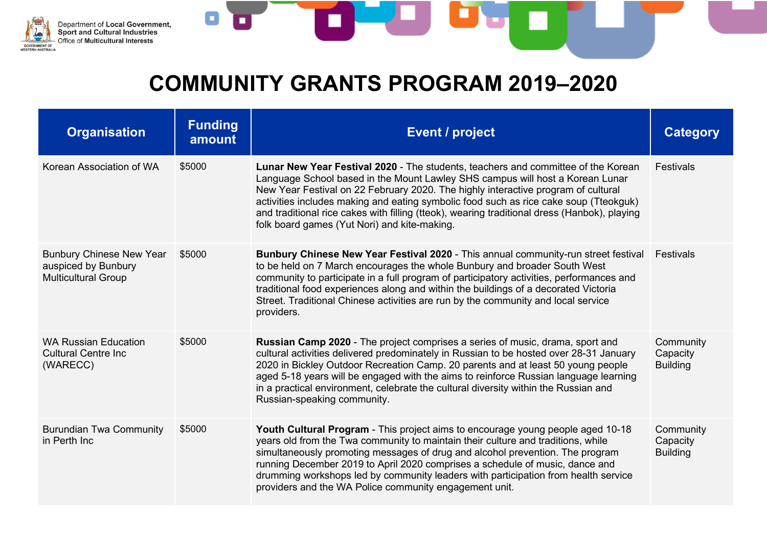

| <b>Organisation</b>                                                                  | <b>Funding</b><br>amount | <b>Event / project</b>                                                                                                                                                                                                                                                                                                                                                                                                                                                                           | <b>Category</b>                          |
|--------------------------------------------------------------------------------------|--------------------------|--------------------------------------------------------------------------------------------------------------------------------------------------------------------------------------------------------------------------------------------------------------------------------------------------------------------------------------------------------------------------------------------------------------------------------------------------------------------------------------------------|------------------------------------------|
| Korean Association of WA                                                             | \$5000                   | Lunar New Year Festival 2020 - The students, teachers and committee of the Korean<br>Language School based in the Mount Lawley SHS campus will host a Korean Lunar<br>New Year Festival on 22 February 2020. The highly interactive program of cultural<br>activities includes making and eating symbolic food such as rice cake soup (Tteokguk)<br>and traditional rice cakes with filling (tteok), wearing traditional dress (Hanbok), playing<br>folk board games (Yut Nori) and kite-making. | Festivals                                |
| <b>Bunbury Chinese New Year</b><br>auspiced by Bunbury<br><b>Multicultural Group</b> | \$5000                   | Bunbury Chinese New Year Festival 2020 - This annual community-run street festival<br>to be held on 7 March encourages the whole Bunbury and broader South West<br>community to participate in a full program of participatory activities, performances and<br>traditional food experiences along and within the buildings of a decorated Victoria<br>Street. Traditional Chinese activities are run by the community and local service<br>providers.                                            | Festivals                                |
| <b>WA Russian Education</b><br><b>Cultural Centre Inc.</b><br>(WARECC)               | \$5000                   | <b>Russian Camp 2020</b> - The project comprises a series of music, drama, sport and<br>cultural activities delivered predominately in Russian to be hosted over 28-31 January<br>2020 in Bickley Outdoor Recreation Camp. 20 parents and at least 50 young people<br>aged 5-18 years will be engaged with the aims to reinforce Russian language learning<br>in a practical environment, celebrate the cultural diversity within the Russian and<br>Russian-speaking community.                 | Community<br>Capacity<br><b>Building</b> |
| <b>Burundian Twa Community</b><br>in Perth Inc                                       | \$5000                   | Youth Cultural Program - This project aims to encourage young people aged 10-18<br>years old from the Twa community to maintain their culture and traditions, while<br>simultaneously promoting messages of drug and alcohol prevention. The program<br>running December 2019 to April 2020 comprises a schedule of music, dance and<br>drumming workshops led by community leaders with participation from health service<br>providers and the WA Police community engagement unit.             | Community<br>Capacity<br><b>Building</b> |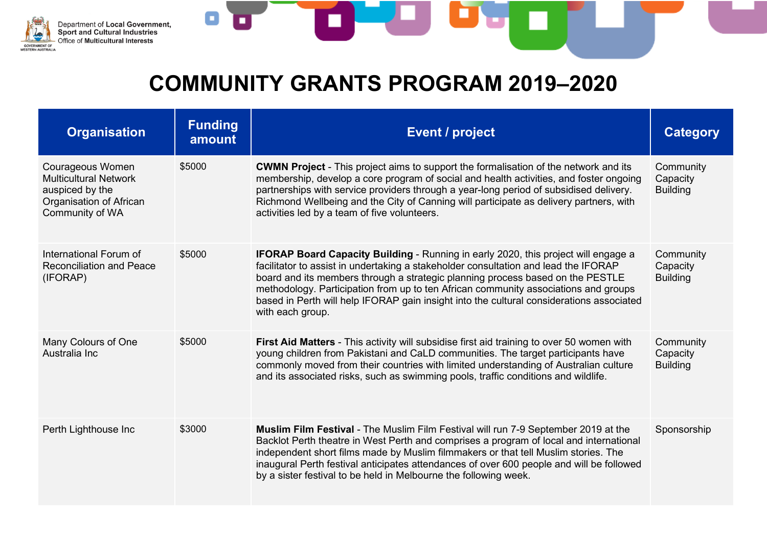

۸

| <b>Organisation</b>                                                                                                      | <b>Funding</b><br>amount | <b>Event / project</b>                                                                                                                                                                                                                                                                                                                                                                                                                                                    | <b>Category</b>                          |
|--------------------------------------------------------------------------------------------------------------------------|--------------------------|---------------------------------------------------------------------------------------------------------------------------------------------------------------------------------------------------------------------------------------------------------------------------------------------------------------------------------------------------------------------------------------------------------------------------------------------------------------------------|------------------------------------------|
| <b>Courageous Women</b><br><b>Multicultural Network</b><br>auspiced by the<br>Organisation of African<br>Community of WA | \$5000                   | <b>CWMN Project</b> - This project aims to support the formalisation of the network and its<br>membership, develop a core program of social and health activities, and foster ongoing<br>partnerships with service providers through a year-long period of subsidised delivery.<br>Richmond Wellbeing and the City of Canning will participate as delivery partners, with<br>activities led by a team of five volunteers.                                                 | Community<br>Capacity<br><b>Building</b> |
| International Forum of<br><b>Reconciliation and Peace</b><br>(IFORAP)                                                    | \$5000                   | <b>IFORAP Board Capacity Building - Running in early 2020, this project will engage a</b><br>facilitator to assist in undertaking a stakeholder consultation and lead the IFORAP<br>board and its members through a strategic planning process based on the PESTLE<br>methodology. Participation from up to ten African community associations and groups<br>based in Perth will help IFORAP gain insight into the cultural considerations associated<br>with each group. | Community<br>Capacity<br><b>Building</b> |
| Many Colours of One<br>Australia Inc                                                                                     | \$5000                   | First Aid Matters - This activity will subsidise first aid training to over 50 women with<br>young children from Pakistani and CaLD communities. The target participants have<br>commonly moved from their countries with limited understanding of Australian culture<br>and its associated risks, such as swimming pools, traffic conditions and wildlife.                                                                                                               | Community<br>Capacity<br><b>Building</b> |
| Perth Lighthouse Inc                                                                                                     | \$3000                   | <b>Muslim Film Festival - The Muslim Film Festival will run 7-9 September 2019 at the</b><br>Backlot Perth theatre in West Perth and comprises a program of local and international<br>independent short films made by Muslim filmmakers or that tell Muslim stories. The<br>inaugural Perth festival anticipates attendances of over 600 people and will be followed<br>by a sister festival to be held in Melbourne the following week.                                 | Sponsorship                              |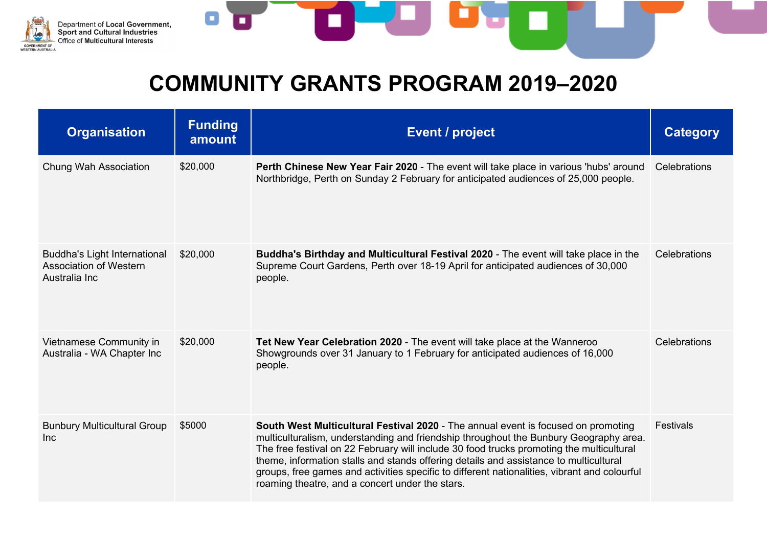

| <b>Organisation</b>                                                            | <b>Funding</b><br>amount | <b>Event / project</b>                                                                                                                                                                                                                                                                                                                                                                                                                                                                                             | <b>Category</b> |
|--------------------------------------------------------------------------------|--------------------------|--------------------------------------------------------------------------------------------------------------------------------------------------------------------------------------------------------------------------------------------------------------------------------------------------------------------------------------------------------------------------------------------------------------------------------------------------------------------------------------------------------------------|-----------------|
| <b>Chung Wah Association</b>                                                   | \$20,000                 | Perth Chinese New Year Fair 2020 - The event will take place in various 'hubs' around<br>Northbridge, Perth on Sunday 2 February for anticipated audiences of 25,000 people.                                                                                                                                                                                                                                                                                                                                       | Celebrations    |
| <b>Buddha's Light International</b><br>Association of Western<br>Australia Inc | \$20,000                 | Buddha's Birthday and Multicultural Festival 2020 - The event will take place in the<br>Supreme Court Gardens, Perth over 18-19 April for anticipated audiences of 30,000<br>people.                                                                                                                                                                                                                                                                                                                               | Celebrations    |
| Vietnamese Community in<br>Australia - WA Chapter Inc                          | \$20,000                 | Tet New Year Celebration 2020 - The event will take place at the Wanneroo<br>Showgrounds over 31 January to 1 February for anticipated audiences of 16,000<br>people.                                                                                                                                                                                                                                                                                                                                              | Celebrations    |
| <b>Bunbury Multicultural Group</b><br><b>Inc</b>                               | \$5000                   | South West Multicultural Festival 2020 - The annual event is focused on promoting<br>multiculturalism, understanding and friendship throughout the Bunbury Geography area.<br>The free festival on 22 February will include 30 food trucks promoting the multicultural<br>theme, information stalls and stands offering details and assistance to multicultural<br>groups, free games and activities specific to different nationalities, vibrant and colourful<br>roaming theatre, and a concert under the stars. | Festivals       |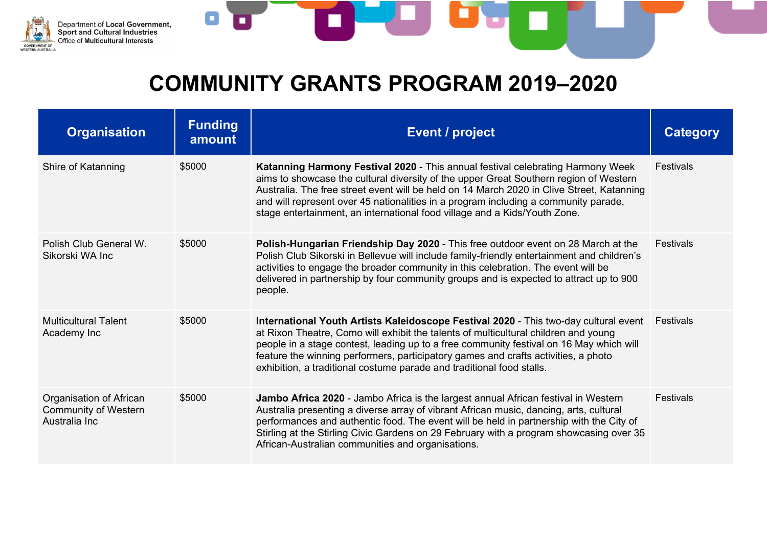

| <b>Organisation</b>                                                     | <b>Funding</b><br>amount | <b>Event / project</b>                                                                                                                                                                                                                                                                                                                                                                                                                           | <b>Category</b>  |
|-------------------------------------------------------------------------|--------------------------|--------------------------------------------------------------------------------------------------------------------------------------------------------------------------------------------------------------------------------------------------------------------------------------------------------------------------------------------------------------------------------------------------------------------------------------------------|------------------|
| Shire of Katanning                                                      | \$5000                   | <b>Katanning Harmony Festival 2020 - This annual festival celebrating Harmony Week</b><br>aims to showcase the cultural diversity of the upper Great Southern region of Western<br>Australia. The free street event will be held on 14 March 2020 in Clive Street, Katanning<br>and will represent over 45 nationalities in a program including a community parade,<br>stage entertainment, an international food village and a Kids/Youth Zone. | Festivals        |
| Polish Club General W.<br>Sikorski WA Inc                               | \$5000                   | Polish-Hungarian Friendship Day 2020 - This free outdoor event on 28 March at the<br>Polish Club Sikorski in Bellevue will include family-friendly entertainment and children's<br>activities to engage the broader community in this celebration. The event will be<br>delivered in partnership by four community groups and is expected to attract up to 900<br>people.                                                                        | <b>Festivals</b> |
| <b>Multicultural Talent</b><br>Academy Inc                              | \$5000                   | International Youth Artists Kaleidoscope Festival 2020 - This two-day cultural event<br>at Rixon Theatre, Como will exhibit the talents of multicultural children and young<br>people in a stage contest, leading up to a free community festival on 16 May which will<br>feature the winning performers, participatory games and crafts activities, a photo<br>exhibition, a traditional costume parade and traditional food stalls.            | Festivals        |
| Organisation of African<br><b>Community of Western</b><br>Australia Inc | \$5000                   | <b>Jambo Africa 2020</b> - Jambo Africa is the largest annual African festival in Western<br>Australia presenting a diverse array of vibrant African music, dancing, arts, cultural<br>performances and authentic food. The event will be held in partnership with the City of<br>Stirling at the Stirling Civic Gardens on 29 February with a program showcasing over 35<br>African-Australian communities and organisations.                   | <b>Festivals</b> |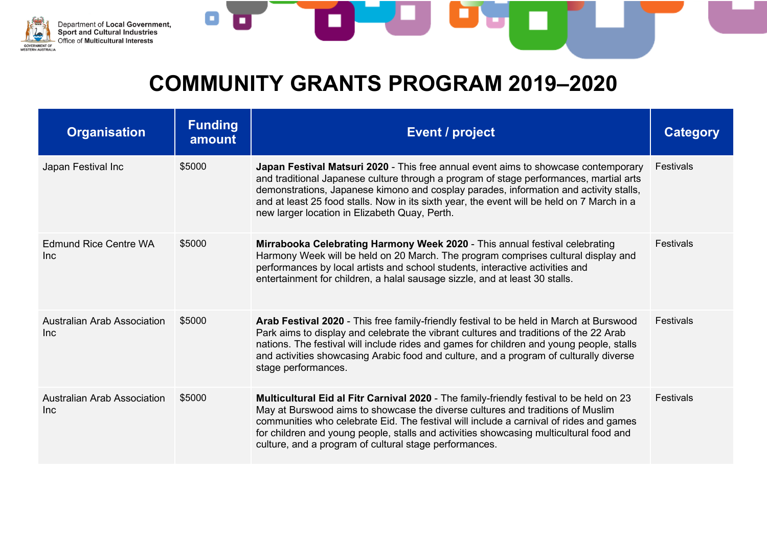

| <b>Organisation</b>                        | <b>Funding</b><br>amount | <b>Event / project</b>                                                                                                                                                                                                                                                                                                                                                                                                  | Category         |
|--------------------------------------------|--------------------------|-------------------------------------------------------------------------------------------------------------------------------------------------------------------------------------------------------------------------------------------------------------------------------------------------------------------------------------------------------------------------------------------------------------------------|------------------|
| Japan Festival Inc                         | \$5000                   | Japan Festival Matsuri 2020 - This free annual event aims to showcase contemporary<br>and traditional Japanese culture through a program of stage performances, martial arts<br>demonstrations, Japanese kimono and cosplay parades, information and activity stalls,<br>and at least 25 food stalls. Now in its sixth year, the event will be held on 7 March in a<br>new larger location in Elizabeth Quay, Perth.    | Festivals        |
| <b>Edmund Rice Centre WA</b><br><b>Inc</b> | \$5000                   | Mirrabooka Celebrating Harmony Week 2020 - This annual festival celebrating<br>Harmony Week will be held on 20 March. The program comprises cultural display and<br>performances by local artists and school students, interactive activities and<br>entertainment for children, a halal sausage sizzle, and at least 30 stalls.                                                                                        | <b>Festivals</b> |
| <b>Australian Arab Association</b><br>Inc  | \$5000                   | Arab Festival 2020 - This free family-friendly festival to be held in March at Burswood<br>Park aims to display and celebrate the vibrant cultures and traditions of the 22 Arab<br>nations. The festival will include rides and games for children and young people, stalls<br>and activities showcasing Arabic food and culture, and a program of culturally diverse<br>stage performances.                           | <b>Festivals</b> |
| Australian Arab Association<br><b>Inc</b>  | \$5000                   | Multicultural Eid al Fitr Carnival 2020 - The family-friendly festival to be held on 23<br>May at Burswood aims to showcase the diverse cultures and traditions of Muslim<br>communities who celebrate Eid. The festival will include a carnival of rides and games<br>for children and young people, stalls and activities showcasing multicultural food and<br>culture, and a program of cultural stage performances. | Festivals        |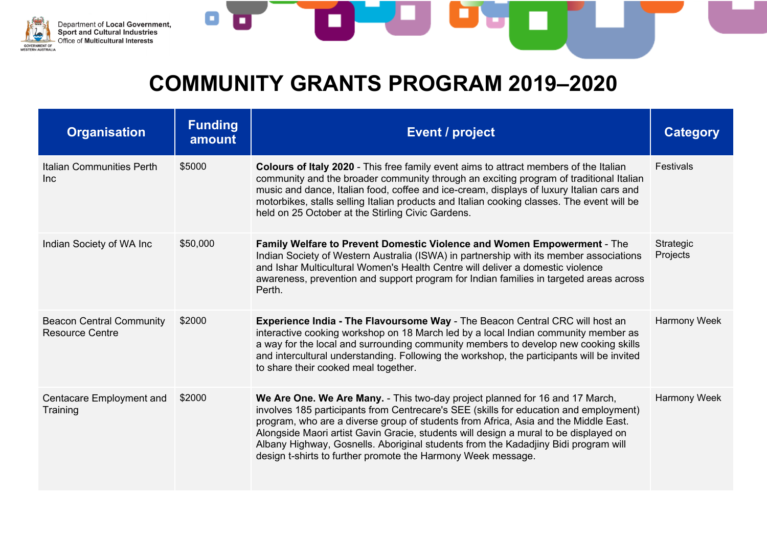

| <b>Organisation</b>                                       | <b>Funding</b><br>amount | <b>Event / project</b>                                                                                                                                                                                                                                                                                                                                                                                                                                                                                     | <b>Category</b>              |
|-----------------------------------------------------------|--------------------------|------------------------------------------------------------------------------------------------------------------------------------------------------------------------------------------------------------------------------------------------------------------------------------------------------------------------------------------------------------------------------------------------------------------------------------------------------------------------------------------------------------|------------------------------|
| <b>Italian Communities Perth</b><br>Inc                   | \$5000                   | <b>Colours of Italy 2020</b> - This free family event aims to attract members of the Italian<br>community and the broader community through an exciting program of traditional Italian<br>music and dance, Italian food, coffee and ice-cream, displays of luxury Italian cars and<br>motorbikes, stalls selling Italian products and Italian cooking classes. The event will be<br>held on 25 October at the Stirling Civic Gardens.                                                                      | <b>Festivals</b>             |
| Indian Society of WA Inc                                  | \$50,000                 | Family Welfare to Prevent Domestic Violence and Women Empowerment - The<br>Indian Society of Western Australia (ISWA) in partnership with its member associations<br>and Ishar Multicultural Women's Health Centre will deliver a domestic violence<br>awareness, prevention and support program for Indian families in targeted areas across<br>Perth.                                                                                                                                                    | <b>Strategic</b><br>Projects |
| <b>Beacon Central Community</b><br><b>Resource Centre</b> | \$2000                   | Experience India - The Flavoursome Way - The Beacon Central CRC will host an<br>interactive cooking workshop on 18 March led by a local Indian community member as<br>a way for the local and surrounding community members to develop new cooking skills<br>and intercultural understanding. Following the workshop, the participants will be invited<br>to share their cooked meal together.                                                                                                             | <b>Harmony Week</b>          |
| <b>Centacare Employment and</b><br>Training               | \$2000                   | We Are One. We Are Many. - This two-day project planned for 16 and 17 March,<br>involves 185 participants from Centrecare's SEE (skills for education and employment)<br>program, who are a diverse group of students from Africa, Asia and the Middle East.<br>Alongside Maori artist Gavin Gracie, students will design a mural to be displayed on<br>Albany Highway, Gosnells. Aboriginal students from the Kadadjiny Bidi program will<br>design t-shirts to further promote the Harmony Week message. | <b>Harmony Week</b>          |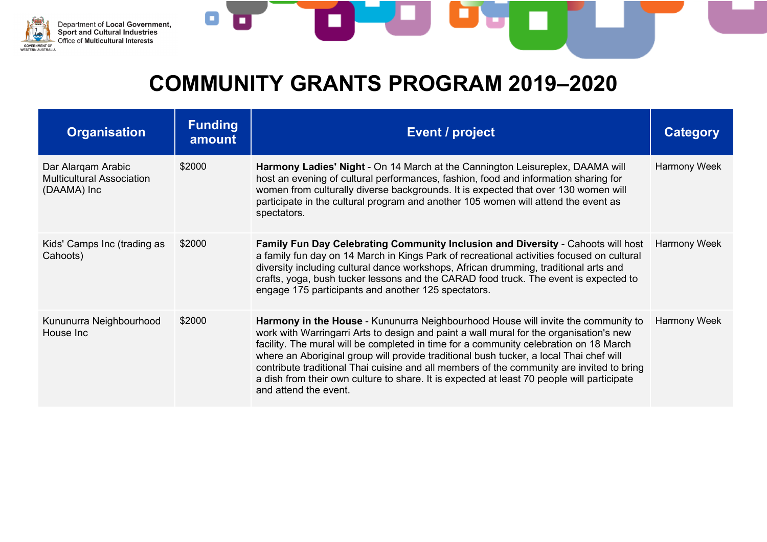

O

| <b>Organisation</b>                                                   | <b>Funding</b><br>amount | <b>Event / project</b>                                                                                                                                                                                                                                                                                                                                                                                                                                                                                                                                                             | Category     |
|-----------------------------------------------------------------------|--------------------------|------------------------------------------------------------------------------------------------------------------------------------------------------------------------------------------------------------------------------------------------------------------------------------------------------------------------------------------------------------------------------------------------------------------------------------------------------------------------------------------------------------------------------------------------------------------------------------|--------------|
| Dar Alargam Arabic<br><b>Multicultural Association</b><br>(DAAMA) Inc | \$2000                   | Harmony Ladies' Night - On 14 March at the Cannington Leisureplex, DAAMA will<br>host an evening of cultural performances, fashion, food and information sharing for<br>women from culturally diverse backgrounds. It is expected that over 130 women will<br>participate in the cultural program and another 105 women will attend the event as<br>spectators.                                                                                                                                                                                                                    | Harmony Week |
| Kids' Camps Inc (trading as<br>Cahoots)                               | \$2000                   | Family Fun Day Celebrating Community Inclusion and Diversity - Cahoots will host<br>a family fun day on 14 March in Kings Park of recreational activities focused on cultural<br>diversity including cultural dance workshops, African drumming, traditional arts and<br>crafts, yoga, bush tucker lessons and the CARAD food truck. The event is expected to<br>engage 175 participants and another 125 spectators.                                                                                                                                                               | Harmony Week |
| Kununurra Neighbourhood<br>House Inc                                  | \$2000                   | Harmony in the House - Kununurra Neighbourhood House will invite the community to<br>work with Warringarri Arts to design and paint a wall mural for the organisation's new<br>facility. The mural will be completed in time for a community celebration on 18 March<br>where an Aboriginal group will provide traditional bush tucker, a local Thai chef will<br>contribute traditional Thai cuisine and all members of the community are invited to bring<br>a dish from their own culture to share. It is expected at least 70 people will participate<br>and attend the event. | Harmony Week |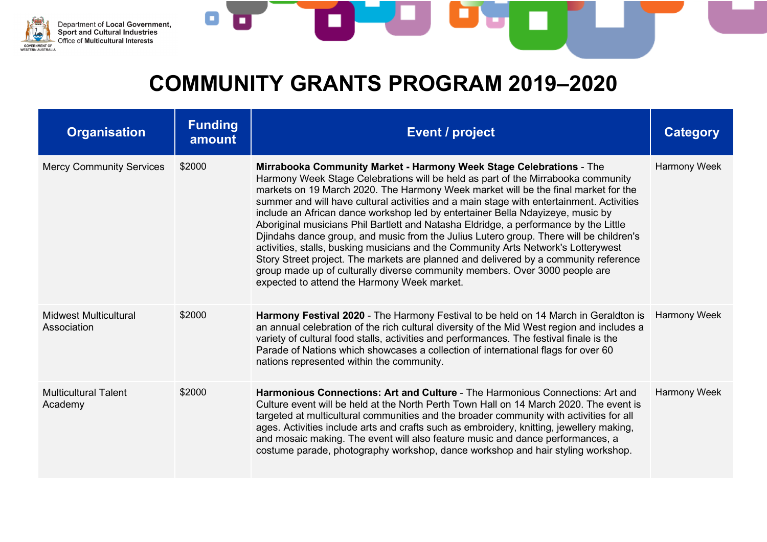

| <b>Organisation</b>                         | <b>Funding</b><br>amount | <b>Event / project</b>                                                                                                                                                                                                                                                                                                                                                                                                                                                                                                                                                                                                                                                                                                                                                                                                                                                                                                    | Category            |
|---------------------------------------------|--------------------------|---------------------------------------------------------------------------------------------------------------------------------------------------------------------------------------------------------------------------------------------------------------------------------------------------------------------------------------------------------------------------------------------------------------------------------------------------------------------------------------------------------------------------------------------------------------------------------------------------------------------------------------------------------------------------------------------------------------------------------------------------------------------------------------------------------------------------------------------------------------------------------------------------------------------------|---------------------|
| <b>Mercy Community Services</b>             | \$2000                   | Mirrabooka Community Market - Harmony Week Stage Celebrations - The<br>Harmony Week Stage Celebrations will be held as part of the Mirrabooka community<br>markets on 19 March 2020. The Harmony Week market will be the final market for the<br>summer and will have cultural activities and a main stage with entertainment. Activities<br>include an African dance workshop led by entertainer Bella Ndayizeye, music by<br>Aboriginal musicians Phil Bartlett and Natasha Eldridge, a performance by the Little<br>Djindahs dance group, and music from the Julius Lutero group. There will be children's<br>activities, stalls, busking musicians and the Community Arts Network's Lotterywest<br>Story Street project. The markets are planned and delivered by a community reference<br>group made up of culturally diverse community members. Over 3000 people are<br>expected to attend the Harmony Week market. | <b>Harmony Week</b> |
| <b>Midwest Multicultural</b><br>Association | \$2000                   | Harmony Festival 2020 - The Harmony Festival to be held on 14 March in Geraldton is<br>an annual celebration of the rich cultural diversity of the Mid West region and includes a<br>variety of cultural food stalls, activities and performances. The festival finale is the<br>Parade of Nations which showcases a collection of international flags for over 60<br>nations represented within the community.                                                                                                                                                                                                                                                                                                                                                                                                                                                                                                           | Harmony Week        |
| <b>Multicultural Talent</b><br>Academy      | \$2000                   | Harmonious Connections: Art and Culture - The Harmonious Connections: Art and<br>Culture event will be held at the North Perth Town Hall on 14 March 2020. The event is<br>targeted at multicultural communities and the broader community with activities for all<br>ages. Activities include arts and crafts such as embroidery, knitting, jewellery making,<br>and mosaic making. The event will also feature music and dance performances, a<br>costume parade, photography workshop, dance workshop and hair styling workshop.                                                                                                                                                                                                                                                                                                                                                                                       | Harmony Week        |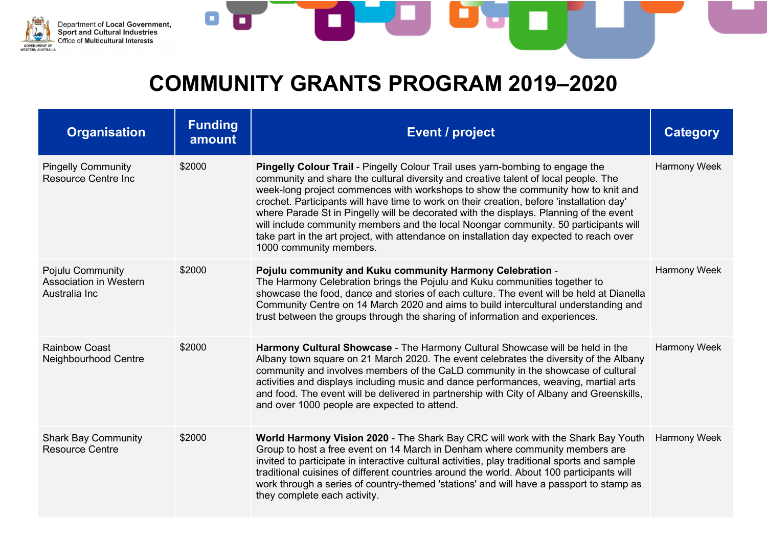

| <b>Organisation</b>                                         | <b>Funding</b><br>amount | <b>Event / project</b>                                                                                                                                                                                                                                                                                                                                                                                                                                                                                                                                                                                                                                                | <b>Category</b>     |
|-------------------------------------------------------------|--------------------------|-----------------------------------------------------------------------------------------------------------------------------------------------------------------------------------------------------------------------------------------------------------------------------------------------------------------------------------------------------------------------------------------------------------------------------------------------------------------------------------------------------------------------------------------------------------------------------------------------------------------------------------------------------------------------|---------------------|
| <b>Pingelly Community</b><br><b>Resource Centre Inc.</b>    | \$2000                   | <b>Pingelly Colour Trail</b> - Pingelly Colour Trail uses yarn-bombing to engage the<br>community and share the cultural diversity and creative talent of local people. The<br>week-long project commences with workshops to show the community how to knit and<br>crochet. Participants will have time to work on their creation, before 'installation day'<br>where Parade St in Pingelly will be decorated with the displays. Planning of the event<br>will include community members and the local Noongar community. 50 participants will<br>take part in the art project, with attendance on installation day expected to reach over<br>1000 community members. | Harmony Week        |
| Pojulu Community<br>Association in Western<br>Australia Inc | \$2000                   | Pojulu community and Kuku community Harmony Celebration -<br>The Harmony Celebration brings the Pojulu and Kuku communities together to<br>showcase the food, dance and stories of each culture. The event will be held at Dianella<br>Community Centre on 14 March 2020 and aims to build intercultural understanding and<br>trust between the groups through the sharing of information and experiences.                                                                                                                                                                                                                                                            | <b>Harmony Week</b> |
| <b>Rainbow Coast</b><br>Neighbourhood Centre                | \$2000                   | Harmony Cultural Showcase - The Harmony Cultural Showcase will be held in the<br>Albany town square on 21 March 2020. The event celebrates the diversity of the Albany<br>community and involves members of the CaLD community in the showcase of cultural<br>activities and displays including music and dance performances, weaving, martial arts<br>and food. The event will be delivered in partnership with City of Albany and Greenskills,<br>and over 1000 people are expected to attend.                                                                                                                                                                      | <b>Harmony Week</b> |
| <b>Shark Bay Community</b><br><b>Resource Centre</b>        | \$2000                   | World Harmony Vision 2020 - The Shark Bay CRC will work with the Shark Bay Youth<br>Group to host a free event on 14 March in Denham where community members are<br>invited to participate in interactive cultural activities, play traditional sports and sample<br>traditional cuisines of different countries around the world. About 100 participants will<br>work through a series of country-themed 'stations' and will have a passport to stamp as<br>they complete each activity.                                                                                                                                                                             | <b>Harmony Week</b> |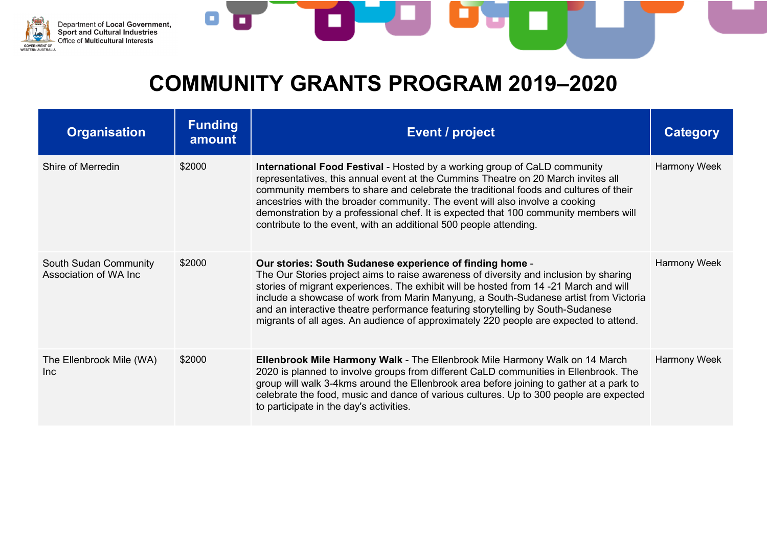

o

| <b>Organisation</b>                                    | <b>Funding</b><br>amount | Event / project                                                                                                                                                                                                                                                                                                                                                                                                                                                                                                | <b>Category</b>     |
|--------------------------------------------------------|--------------------------|----------------------------------------------------------------------------------------------------------------------------------------------------------------------------------------------------------------------------------------------------------------------------------------------------------------------------------------------------------------------------------------------------------------------------------------------------------------------------------------------------------------|---------------------|
| Shire of Merredin                                      | \$2000                   | <b>International Food Festival - Hosted by a working group of CaLD community</b><br>representatives, this annual event at the Cummins Theatre on 20 March invites all<br>community members to share and celebrate the traditional foods and cultures of their<br>ancestries with the broader community. The event will also involve a cooking<br>demonstration by a professional chef. It is expected that 100 community members will<br>contribute to the event, with an additional 500 people attending.     | <b>Harmony Week</b> |
| <b>South Sudan Community</b><br>Association of WA Inc. | \$2000                   | Our stories: South Sudanese experience of finding home -<br>The Our Stories project aims to raise awareness of diversity and inclusion by sharing<br>stories of migrant experiences. The exhibit will be hosted from 14 -21 March and will<br>include a showcase of work from Marin Manyung, a South-Sudanese artist from Victoria<br>and an interactive theatre performance featuring storytelling by South-Sudanese<br>migrants of all ages. An audience of approximately 220 people are expected to attend. | <b>Harmony Week</b> |
| The Ellenbrook Mile (WA)<br><b>Inc</b>                 | \$2000                   | Ellenbrook Mile Harmony Walk - The Ellenbrook Mile Harmony Walk on 14 March<br>2020 is planned to involve groups from different CaLD communities in Ellenbrook. The<br>group will walk 3-4kms around the Ellenbrook area before joining to gather at a park to<br>celebrate the food, music and dance of various cultures. Up to 300 people are expected<br>to participate in the day's activities.                                                                                                            | Harmony Week        |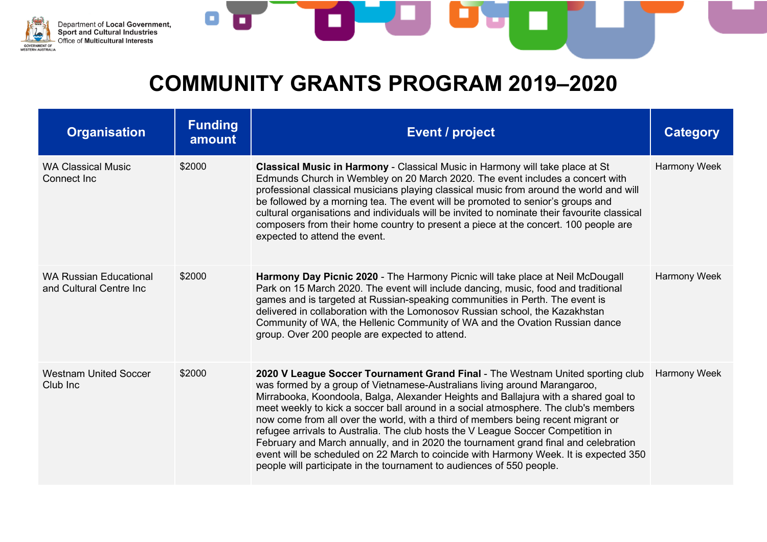

| <b>Organisation</b>                                      | <b>Funding</b><br>amount | <b>Event / project</b>                                                                                                                                                                                                                                                                                                                                                                                                                                                                                                                                                                                                                                                                                                                                                      | <b>Category</b>     |
|----------------------------------------------------------|--------------------------|-----------------------------------------------------------------------------------------------------------------------------------------------------------------------------------------------------------------------------------------------------------------------------------------------------------------------------------------------------------------------------------------------------------------------------------------------------------------------------------------------------------------------------------------------------------------------------------------------------------------------------------------------------------------------------------------------------------------------------------------------------------------------------|---------------------|
| <b>WA Classical Music</b><br>Connect Inc                 | \$2000                   | <b>Classical Music in Harmony - Classical Music in Harmony will take place at St</b><br>Edmunds Church in Wembley on 20 March 2020. The event includes a concert with<br>professional classical musicians playing classical music from around the world and will<br>be followed by a morning tea. The event will be promoted to senior's groups and<br>cultural organisations and individuals will be invited to nominate their favourite classical<br>composers from their home country to present a piece at the concert. 100 people are<br>expected to attend the event.                                                                                                                                                                                                 | Harmony Week        |
| <b>WA Russian Educational</b><br>and Cultural Centre Inc | \$2000                   | Harmony Day Picnic 2020 - The Harmony Picnic will take place at Neil McDougall<br>Park on 15 March 2020. The event will include dancing, music, food and traditional<br>games and is targeted at Russian-speaking communities in Perth. The event is<br>delivered in collaboration with the Lomonosov Russian school, the Kazakhstan<br>Community of WA, the Hellenic Community of WA and the Ovation Russian dance<br>group. Over 200 people are expected to attend.                                                                                                                                                                                                                                                                                                       | Harmony Week        |
| <b>Westnam United Soccer</b><br>Club Inc                 | \$2000                   | 2020 V League Soccer Tournament Grand Final - The Westnam United sporting club<br>was formed by a group of Vietnamese-Australians living around Marangaroo,<br>Mirrabooka, Koondoola, Balga, Alexander Heights and Ballajura with a shared goal to<br>meet weekly to kick a soccer ball around in a social atmosphere. The club's members<br>now come from all over the world, with a third of members being recent migrant or<br>refugee arrivals to Australia. The club hosts the V League Soccer Competition in<br>February and March annually, and in 2020 the tournament grand final and celebration<br>event will be scheduled on 22 March to coincide with Harmony Week. It is expected 350<br>people will participate in the tournament to audiences of 550 people. | <b>Harmony Week</b> |